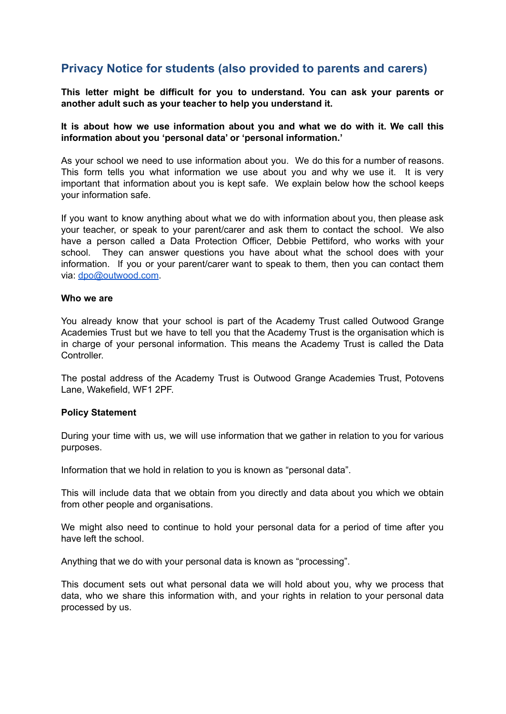# **Privacy Notice for students (also provided to parents and carers)**

**This letter might be difficult for you to understand. You can ask your parents or another adult such as your teacher to help you understand it.**

### **It is about how we use information about you and what we do with it. We call this information about you 'personal data' or 'personal information.'**

As your school we need to use information about you. We do this for a number of reasons. This form tells you what information we use about you and why we use it. It is very important that information about you is kept safe. We explain below how the school keeps your information safe.

If you want to know anything about what we do with information about you, then please ask your teacher, or speak to your parent/carer and ask them to contact the school. We also have a person called a Data Protection Officer, Debbie Pettiford, who works with your school. They can answer questions you have about what the school does with your information. If you or your parent/carer want to speak to them, then you can contact them via: [dpo@outwood.com](mailto:dpo@outwood.com).

#### **Who we are**

You already know that your school is part of the Academy Trust called Outwood Grange Academies Trust but we have to tell you that the Academy Trust is the organisation which is in charge of your personal information. This means the Academy Trust is called the Data **Controller** 

The postal address of the Academy Trust is Outwood Grange Academies Trust, Potovens Lane, Wakefield, WF1 2PF.

#### **Policy Statement**

During your time with us, we will use information that we gather in relation to you for various purposes.

Information that we hold in relation to you is known as "personal data".

This will include data that we obtain from you directly and data about you which we obtain from other people and organisations.

We might also need to continue to hold your personal data for a period of time after you have left the school.

Anything that we do with your personal data is known as "processing".

This document sets out what personal data we will hold about you, why we process that data, who we share this information with, and your rights in relation to your personal data processed by us.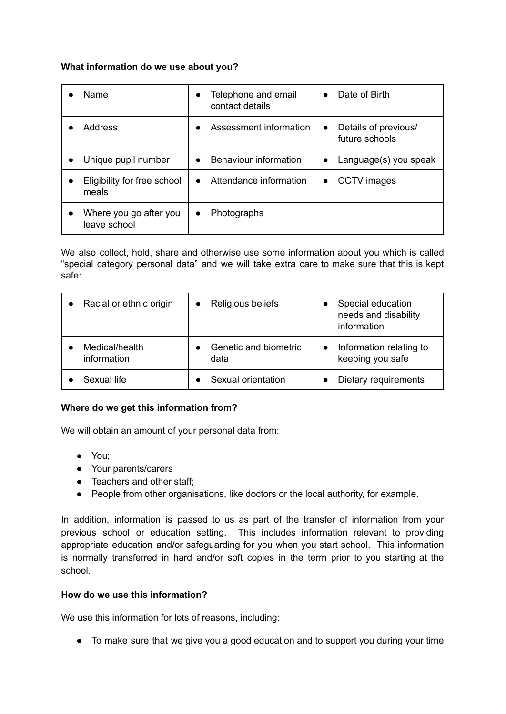## **What information do we use about you?**

| <b>Name</b>                            | Telephone and email<br>$\bullet$<br>contact details | Date of Birth<br>$\bullet$                          |
|----------------------------------------|-----------------------------------------------------|-----------------------------------------------------|
| <b>Address</b>                         | Assessment information                              | Details of previous/<br>$\bullet$<br>future schools |
| Unique pupil number                    | Behaviour information<br>$\bullet$                  | Language(s) you speak<br>$\bullet$                  |
| Eligibility for free school<br>meals   | Attendance information<br>$\bullet$                 | <b>CCTV</b> images<br>$\bullet$                     |
| Where you go after you<br>leave school | Photographs<br>$\bullet$                            |                                                     |

We also collect, hold, share and otherwise use some information about you which is called "special category personal data" and we will take extra care to make sure that this is kept safe:

| Racial or ethnic origin       | Religious beliefs             | Special education<br>$\bullet$<br>needs and disability<br>information |
|-------------------------------|-------------------------------|-----------------------------------------------------------------------|
| Medical/health<br>information | Genetic and biometric<br>data | Information relating to<br>keeping you safe                           |
| Sexual life                   | Sexual orientation            | Dietary requirements                                                  |

# **Where do we get this information from?**

We will obtain an amount of your personal data from:

- You;
- Your parents/carers
- Teachers and other staff;
- People from other organisations, like doctors or the local authority, for example.

In addition, information is passed to us as part of the transfer of information from your previous school or education setting. This includes information relevant to providing appropriate education and/or safeguarding for you when you start school. This information is normally transferred in hard and/or soft copies in the term prior to you starting at the school.

# **How do we use this information?**

We use this information for lots of reasons, including:

● To make sure that we give you a good education and to support you during your time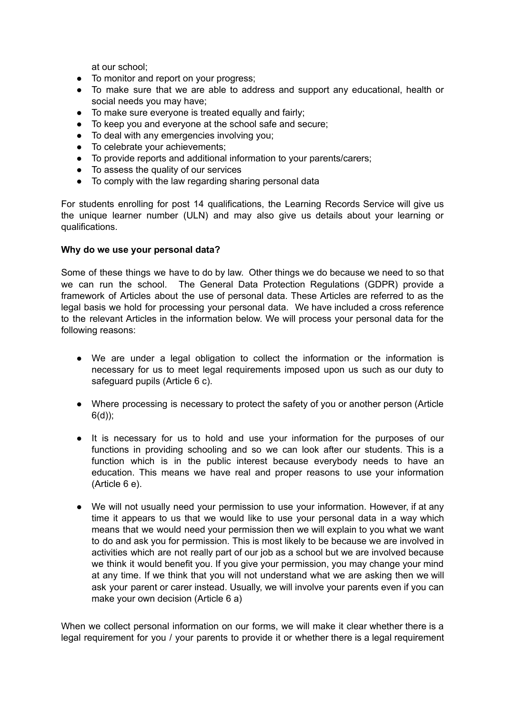at our school;

- To monitor and report on your progress;
- To make sure that we are able to address and support any educational, health or social needs you may have;
- To make sure everyone is treated equally and fairly;
- To keep you and everyone at the school safe and secure;
- To deal with any emergencies involving you:
- To celebrate your achievements;
- To provide reports and additional information to your parents/carers;
- To assess the quality of our services
- To comply with the law regarding sharing personal data

For students enrolling for post 14 qualifications, the Learning Records Service will give us the unique learner number (ULN) and may also give us details about your learning or qualifications.

#### **Why do we use your personal data?**

Some of these things we have to do by law. Other things we do because we need to so that we can run the school. The General Data Protection Regulations (GDPR) provide a framework of Articles about the use of personal data. These Articles are referred to as the legal basis we hold for processing your personal data. We have included a cross reference to the relevant Articles in the information below. We will process your personal data for the following reasons:

- We are under a legal obligation to collect the information or the information is necessary for us to meet legal requirements imposed upon us such as our duty to safeguard pupils (Article 6 c).
- Where processing is necessary to protect the safety of you or another person (Article 6(d));
- It is necessary for us to hold and use your information for the purposes of our functions in providing schooling and so we can look after our students. This is a function which is in the public interest because everybody needs to have an education. This means we have real and proper reasons to use your information (Article 6 e).
- We will not usually need your permission to use your information. However, if at any time it appears to us that we would like to use your personal data in a way which means that we would need your permission then we will explain to you what we want to do and ask you for permission. This is most likely to be because we are involved in activities which are not really part of our job as a school but we are involved because we think it would benefit you. If you give your permission, you may change your mind at any time. If we think that you will not understand what we are asking then we will ask your parent or carer instead. Usually, we will involve your parents even if you can make your own decision (Article 6 a)

When we collect personal information on our forms, we will make it clear whether there is a legal requirement for you / your parents to provide it or whether there is a legal requirement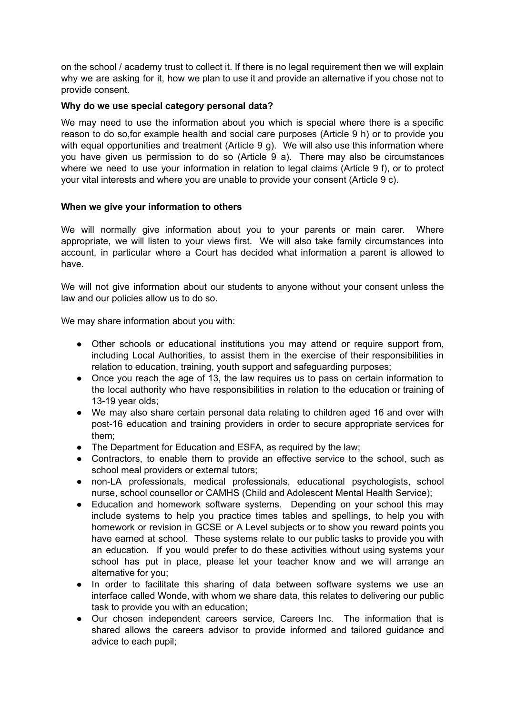on the school / academy trust to collect it. If there is no legal requirement then we will explain why we are asking for it, how we plan to use it and provide an alternative if you chose not to provide consent.

## **Why do we use special category personal data?**

We may need to use the information about you which is special where there is a specific reason to do so,for example health and social care purposes (Article 9 h) or to provide you with equal opportunities and treatment (Article 9 g). We will also use this information where you have given us permission to do so (Article 9 a). There may also be circumstances where we need to use your information in relation to legal claims (Article 9 f), or to protect your vital interests and where you are unable to provide your consent (Article 9 c).

## **When we give your information to others**

We will normally give information about you to your parents or main carer. Where appropriate, we will listen to your views first. We will also take family circumstances into account, in particular where a Court has decided what information a parent is allowed to have.

We will not give information about our students to anyone without your consent unless the law and our policies allow us to do so.

We may share information about you with:

- Other schools or educational institutions you may attend or require support from, including Local Authorities, to assist them in the exercise of their responsibilities in relation to education, training, youth support and safeguarding purposes;
- Once you reach the age of 13, the law requires us to pass on certain information to the local authority who have responsibilities in relation to the education or training of 13-19 year olds;
- We may also share certain personal data relating to children aged 16 and over with post-16 education and training providers in order to secure appropriate services for them;
- The Department for Education and ESFA, as required by the law;
- Contractors, to enable them to provide an effective service to the school, such as school meal providers or external tutors:
- non-LA professionals, medical professionals, educational psychologists, school nurse, school counsellor or CAMHS (Child and Adolescent Mental Health Service);
- Education and homework software systems. Depending on your school this may include systems to help you practice times tables and spellings, to help you with homework or revision in GCSE or A Level subjects or to show you reward points you have earned at school. These systems relate to our public tasks to provide you with an education. If you would prefer to do these activities without using systems your school has put in place, please let your teacher know and we will arrange an alternative for you;
- In order to facilitate this sharing of data between software systems we use an interface called Wonde, with whom we share data, this relates to delivering our public task to provide you with an education;
- Our chosen independent careers service, Careers Inc. The information that is shared allows the careers advisor to provide informed and tailored guidance and advice to each pupil;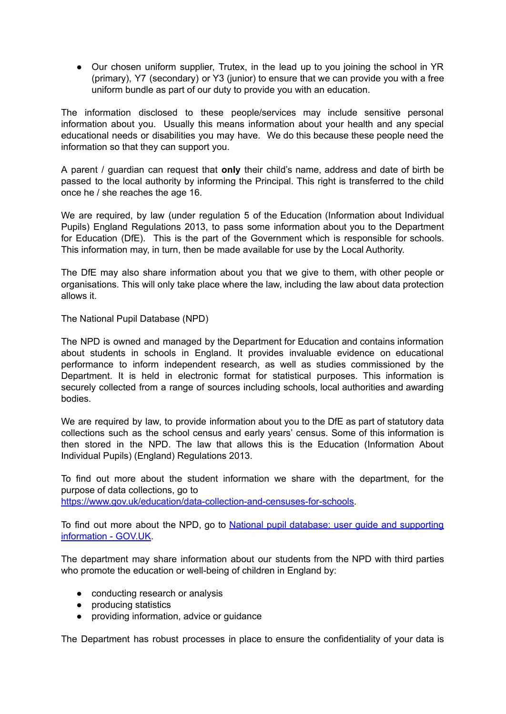• Our chosen uniform supplier, Trutex, in the lead up to you joining the school in YR (primary), Y7 (secondary) or Y3 (junior) to ensure that we can provide you with a free uniform bundle as part of our duty to provide you with an education.

The information disclosed to these people/services may include sensitive personal information about you. Usually this means information about your health and any special educational needs or disabilities you may have. We do this because these people need the information so that they can support you.

A parent / guardian can request that **only** their child's name, address and date of birth be passed to the local authority by informing the Principal. This right is transferred to the child once he / she reaches the age 16.

We are required, by law (under regulation 5 of the Education (Information about Individual Pupils) England Regulations 2013, to pass some information about you to the Department for Education (DfE). This is the part of the Government which is responsible for schools. This information may, in turn, then be made available for use by the Local Authority.

The DfE may also share information about you that we give to them, with other people or organisations. This will only take place where the law, including the law about data protection allows it.

The National Pupil Database (NPD)

The NPD is owned and managed by the Department for Education and contains information about students in schools in England. It provides invaluable evidence on educational performance to inform independent research, as well as studies commissioned by the Department. It is held in electronic format for statistical purposes. This information is securely collected from a range of sources including schools, local authorities and awarding bodies.

We are required by law, to provide information about you to the DfE as part of statutory data collections such as the school census and early years' census. Some of this information is then stored in the NPD. The law that allows this is the Education (Information About Individual Pupils) (England) Regulations 2013.

To find out more about the student information we share with the department, for the purpose of data collections, go to <https://www.gov.uk/education/data-collection-and-censuses-for-schools>.

To find out more about the NPD, go to National pupil database; user quide and [supporting](https://www.gov.uk/government/publications/national-pupil-database-user-guide-and-supporting-information) [information](https://www.gov.uk/government/publications/national-pupil-database-user-guide-and-supporting-information) - GOV.UK.

The department may share information about our students from the NPD with third parties who promote the education or well-being of children in England by:

- conducting research or analysis
- producing statistics
- providing information, advice or guidance

The Department has robust processes in place to ensure the confidentiality of your data is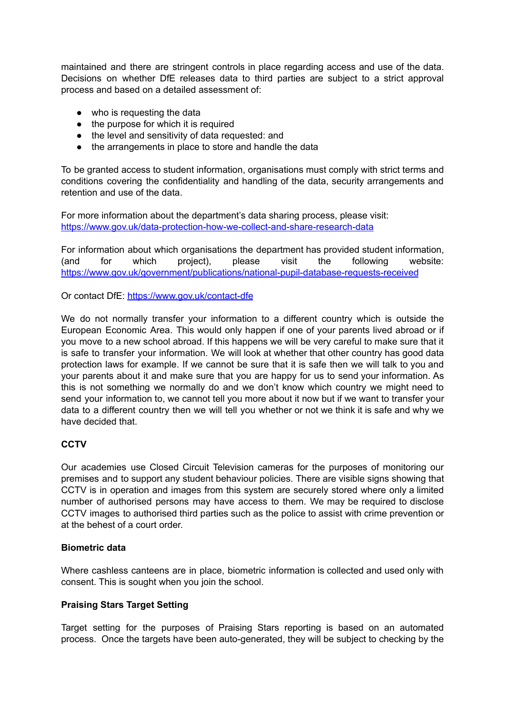maintained and there are stringent controls in place regarding access and use of the data. Decisions on whether DfE releases data to third parties are subject to a strict approval process and based on a detailed assessment of:

- who is requesting the data
- the purpose for which it is required
- the level and sensitivity of data requested: and
- the arrangements in place to store and handle the data

To be granted access to student information, organisations must comply with strict terms and conditions covering the confidentiality and handling of the data, security arrangements and retention and use of the data.

For more information about the department's data sharing process, please visit: [https://www.gov.uk/data-protection-how-we-collect-and-share-research-data](https://www.gov.uk/guidance/data-protection-how-we-collect-and-share-research-data)

For information about which organisations the department has provided student information, (and for which project), please visit the following website: <https://www.gov.uk/government/publications/national-pupil-database-requests-received>

Or contact DfE: <https://www.gov.uk/contact-dfe>

We do not normally transfer your information to a different country which is outside the European Economic Area. This would only happen if one of your parents lived abroad or if you move to a new school abroad. If this happens we will be very careful to make sure that it is safe to transfer your information. We will look at whether that other country has good data protection laws for example. If we cannot be sure that it is safe then we will talk to you and your parents about it and make sure that you are happy for us to send your information. As this is not something we normally do and we don't know which country we might need to send your information to, we cannot tell you more about it now but if we want to transfer your data to a different country then we will tell you whether or not we think it is safe and why we have decided that.

# **CCTV**

Our academies use Closed Circuit Television cameras for the purposes of monitoring our premises and to support any student behaviour policies. There are visible signs showing that CCTV is in operation and images from this system are securely stored where only a limited number of authorised persons may have access to them. We may be required to disclose CCTV images to authorised third parties such as the police to assist with crime prevention or at the behest of a court order.

#### **Biometric data**

Where cashless canteens are in place, biometric information is collected and used only with consent. This is sought when you join the school.

# **Praising Stars Target Setting**

Target setting for the purposes of Praising Stars reporting is based on an automated process. Once the targets have been auto-generated, they will be subject to checking by the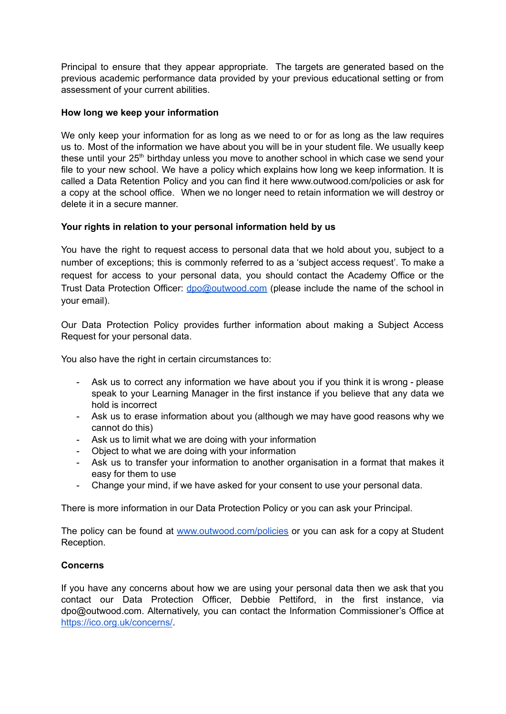Principal to ensure that they appear appropriate. The targets are generated based on the previous academic performance data provided by your previous educational setting or from assessment of your current abilities.

## **How long we keep your information**

We only keep your information for as long as we need to or for as long as the law requires us to. Most of the information we have about you will be in your student file. We usually keep these until your 25<sup>th</sup> birthday unless you move to another school in which case we send your file to your new school. We have a policy which explains how long we keep information. It is called a Data Retention Policy and you can find it here www.outwood.com/policies or ask for a copy at the school office. When we no longer need to retain information we will destroy or delete it in a secure manner.

# **Your rights in relation to your personal information held by us**

You have the right to request access to personal data that we hold about you, subject to a number of exceptions; this is commonly referred to as a 'subject access request'. To make a request for access to your personal data, you should contact the Academy Office or the Trust Data Protection Officer: [dpo@outwood.com](mailto:dpo@outwood.com) (please include the name of the school in your email).

Our Data Protection Policy provides further information about making a Subject Access Request for your personal data.

You also have the right in certain circumstances to:

- Ask us to correct any information we have about you if you think it is wrong please speak to your Learning Manager in the first instance if you believe that any data we hold is incorrect
- Ask us to erase information about you (although we may have good reasons why we cannot do this)
- Ask us to limit what we are doing with your information
- Object to what we are doing with your information
- Ask us to transfer your information to another organisation in a format that makes it easy for them to use
- Change your mind, if we have asked for your consent to use your personal data.

There is more information in our Data Protection Policy or you can ask your Principal.

The policy can be found at [www.outwood.com/policies](http://www.outwood.com/policies) or you can ask for a copy at Student Reception.

#### **Concerns**

If you have any concerns about how we are using your personal data then we ask that you contact our Data Protection Officer, Debbie Pettiford, in the first instance, via dpo@outwood.com. Alternatively, you can contact the Information Commissioner's Office at <https://ico.org.uk/concerns/>.